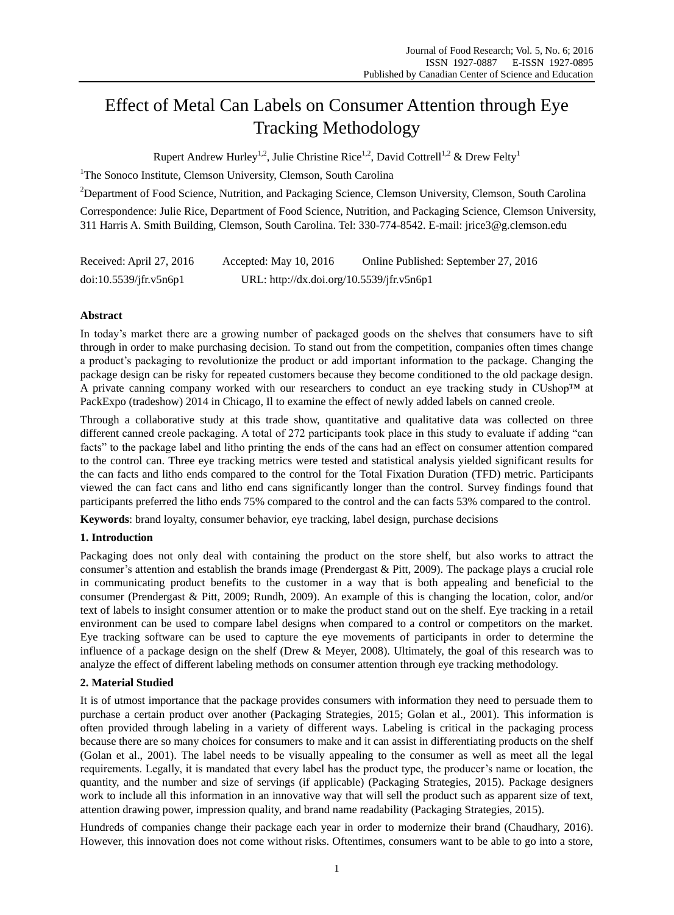# Effect of Metal Can Labels on Consumer Attention through Eye Tracking Methodology

Rupert Andrew Hurley<sup>1,2</sup>, Julie Christine Rice<sup>1,2</sup>, David Cottrell<sup>1,2</sup> & Drew Felty<sup>1</sup>

<sup>1</sup>The Sonoco Institute, Clemson University, Clemson, South Carolina

<sup>2</sup>Department of Food Science, Nutrition, and Packaging Science, Clemson University, Clemson, South Carolina

Correspondence: Julie Rice, Department of Food Science, Nutrition, and Packaging Science, Clemson University, 311 Harris A. Smith Building, Clemson, South Carolina. Tel: 330-774-8542. E-mail: jrice3@g.clemson.edu

| Received: April 27, 2016 | Accepted: May $10, 2016$                  | Online Published: September 27, 2016 |
|--------------------------|-------------------------------------------|--------------------------------------|
| doi:10.5539/jfr.v5n6p1   | URL: http://dx.doi.org/10.5539/jfr.v5n6p1 |                                      |

# **Abstract**

In today's market there are a growing number of packaged goods on the shelves that consumers have to sift through in order to make purchasing decision. To stand out from the competition, companies often times change a product's packaging to revolutionize the product or add important information to the package. Changing the package design can be risky for repeated customers because they become conditioned to the old package design. A private canning company worked with our researchers to conduct an eye tracking study in CUshop™ at PackExpo (tradeshow) 2014 in Chicago, Il to examine the effect of newly added labels on canned creole.

Through a collaborative study at this trade show, quantitative and qualitative data was collected on three different canned creole packaging. A total of 272 participants took place in this study to evaluate if adding "can facts" to the package label and litho printing the ends of the cans had an effect on consumer attention compared to the control can. Three eye tracking metrics were tested and statistical analysis yielded significant results for the can facts and litho ends compared to the control for the Total Fixation Duration (TFD) metric. Participants viewed the can fact cans and litho end cans significantly longer than the control. Survey findings found that participants preferred the litho ends 75% compared to the control and the can facts 53% compared to the control.

**Keywords**: brand loyalty, consumer behavior, eye tracking, label design, purchase decisions

# **1. Introduction**

Packaging does not only deal with containing the product on the store shelf, but also works to attract the consumer's attention and establish the brands image (Prendergast & Pitt, 2009). The package plays a crucial role in communicating product benefits to the customer in a way that is both appealing and beneficial to the consumer (Prendergast & Pitt, 2009; Rundh, 2009). An example of this is changing the location, color, and/or text of labels to insight consumer attention or to make the product stand out on the shelf. Eye tracking in a retail environment can be used to compare label designs when compared to a control or competitors on the market. Eye tracking software can be used to capture the eye movements of participants in order to determine the influence of a package design on the shelf (Drew & Meyer, 2008). Ultimately, the goal of this research was to analyze the effect of different labeling methods on consumer attention through eye tracking methodology.

#### **2. Material Studied**

It is of utmost importance that the package provides consumers with information they need to persuade them to purchase a certain product over another (Packaging Strategies, 2015; Golan et al., 2001). This information is often provided through labeling in a variety of different ways. Labeling is critical in the packaging process because there are so many choices for consumers to make and it can assist in differentiating products on the shelf (Golan et al., 2001). The label needs to be visually appealing to the consumer as well as meet all the legal requirements. Legally, it is mandated that every label has the product type, the producer's name or location, the quantity, and the number and size of servings (if applicable) (Packaging Strategies, 2015). Package designers work to include all this information in an innovative way that will sell the product such as apparent size of text, attention drawing power, impression quality, and brand name readability (Packaging Strategies, 2015).

Hundreds of companies change their package each year in order to modernize their brand (Chaudhary, 2016). However, this innovation does not come without risks. Oftentimes, consumers want to be able to go into a store,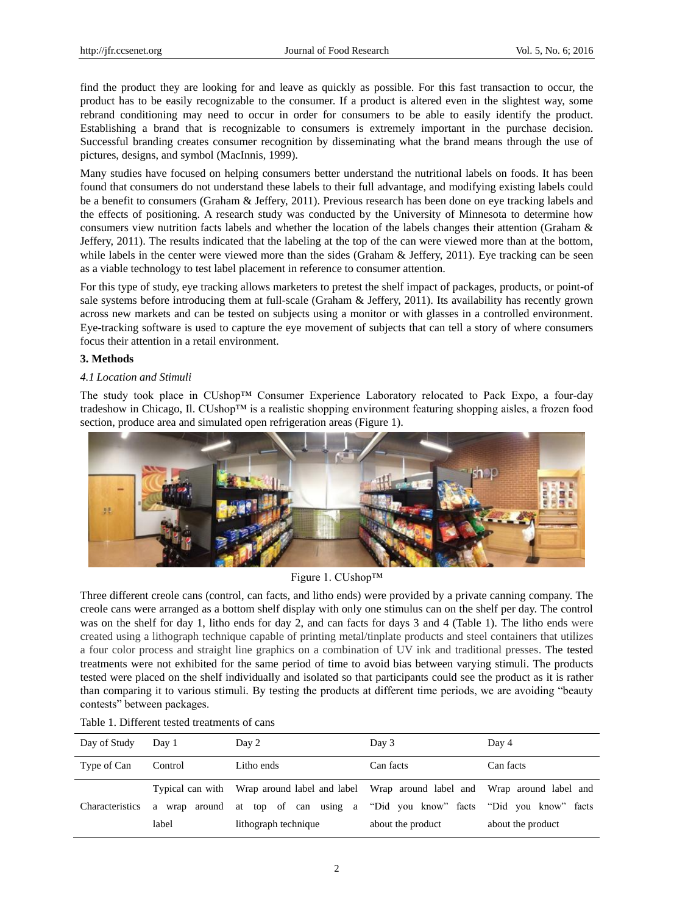find the product they are looking for and leave as quickly as possible. For this fast transaction to occur, the product has to be easily recognizable to the consumer. If a product is altered even in the slightest way, some rebrand conditioning may need to occur in order for consumers to be able to easily identify the product. Establishing a brand that is recognizable to consumers is extremely important in the purchase decision. Successful branding creates consumer recognition by disseminating what the brand means through the use of pictures, designs, and symbol (MacInnis, 1999).

Many studies have focused on helping consumers better understand the nutritional labels on foods. It has been found that consumers do not understand these labels to their full advantage, and modifying existing labels could be a benefit to consumers (Graham & Jeffery, 2011). Previous research has been done on eye tracking labels and the effects of positioning. A research study was conducted by the University of Minnesota to determine how consumers view nutrition facts labels and whether the location of the labels changes their attention (Graham & Jeffery, 2011). The results indicated that the labeling at the top of the can were viewed more than at the bottom, while labels in the center were viewed more than the sides (Graham & Jeffery, 2011). Eye tracking can be seen as a viable technology to test label placement in reference to consumer attention.

For this type of study, eye tracking allows marketers to pretest the shelf impact of packages, products, or point-of sale systems before introducing them at full-scale (Graham & Jeffery, 2011). Its availability has recently grown across new markets and can be tested on subjects using a monitor or with glasses in a controlled environment. Eye-tracking software is used to capture the eye movement of subjects that can tell a story of where consumers focus their attention in a retail environment.

# **3. Methods**

# *4.1 Location and Stimuli*

The study took place in CUshop™ Consumer Experience Laboratory relocated to Pack Expo, a four-day tradeshow in Chicago, Il. CUshop™ is a realistic shopping environment featuring shopping aisles, a frozen food section, produce area and simulated open refrigeration areas (Figure 1).



# Figure 1. CUshop™

Three different creole cans (control, can facts, and litho ends) were provided by a private canning company. The creole cans were arranged as a bottom shelf display with only one stimulus can on the shelf per day. The control was on the shelf for day 1, litho ends for day 2, and can facts for days 3 and 4 (Table 1). The litho ends were created using a lithograph technique capable of printing metal/tinplate products and steel containers that utilizes a four color process and straight line graphics on a combination of UV ink and traditional presses. The tested treatments were not exhibited for the same period of time to avoid bias between varying stimuli. The products tested were placed on the shelf individually and isolated so that participants could see the product as it is rather than comparing it to various stimuli. By testing the products at different time periods, we are avoiding "beauty contests" between packages.

| Day of Study    | Day 1         | Day 2                                                                                                             | Day 3                                     | Day 4             |
|-----------------|---------------|-------------------------------------------------------------------------------------------------------------------|-------------------------------------------|-------------------|
| Type of Can     | Control       | Litho ends                                                                                                        | Can facts                                 | Can facts         |
| Characteristics | a wrap around | Typical can with Wrap around label and label Wrap around label and Wrap around label and<br>at top of can using a | "Did you know" facts "Did you know" facts |                   |
|                 | label         | lithograph technique                                                                                              | about the product                         | about the product |

# Table 1. Different tested treatments of cans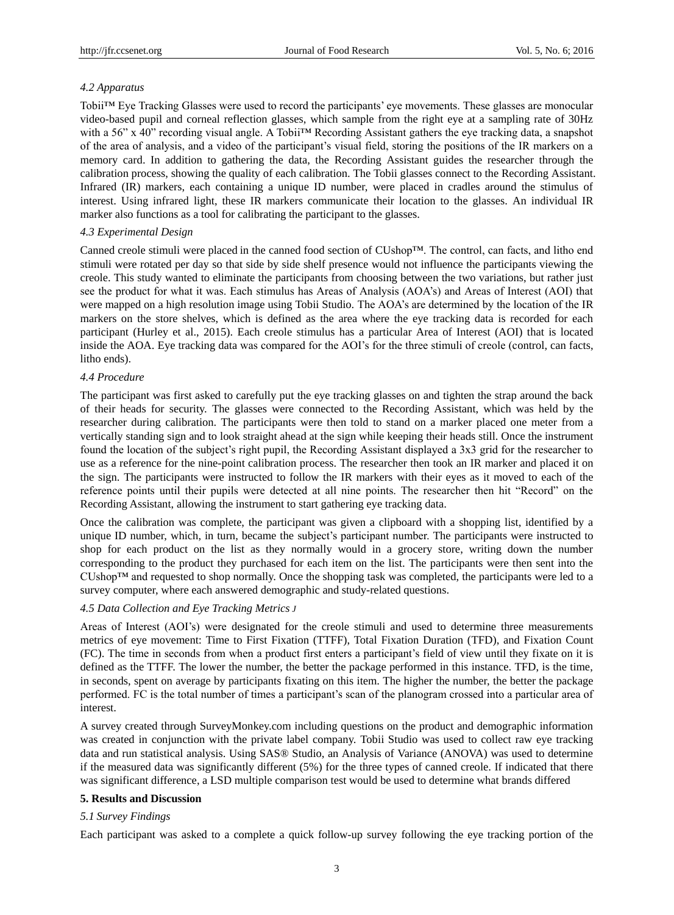# *4.2 Apparatus*

Tobii™ Eye Tracking Glasses were used to record the participants' eye movements. These glasses are monocular video-based pupil and corneal reflection glasses, which sample from the right eye at a sampling rate of 30Hz with a 56" x 40" recording visual angle. A Tobii™ Recording Assistant gathers the eye tracking data, a snapshot of the area of analysis, and a video of the participant's visual field, storing the positions of the IR markers on a memory card. In addition to gathering the data, the Recording Assistant guides the researcher through the calibration process, showing the quality of each calibration. The Tobii glasses connect to the Recording Assistant. Infrared (IR) markers, each containing a unique ID number, were placed in cradles around the stimulus of interest. Using infrared light, these IR markers communicate their location to the glasses. An individual IR marker also functions as a tool for calibrating the participant to the glasses.

# *4.3 Experimental Design*

Canned creole stimuli were placed in the canned food section of CUshop™. The control, can facts, and litho end stimuli were rotated per day so that side by side shelf presence would not influence the participants viewing the creole. This study wanted to eliminate the participants from choosing between the two variations, but rather just see the product for what it was. Each stimulus has Areas of Analysis (AOA's) and Areas of Interest (AOI) that were mapped on a high resolution image using Tobii Studio. The AOA's are determined by the location of the IR markers on the store shelves, which is defined as the area where the eye tracking data is recorded for each participant (Hurley et al., 2015). Each creole stimulus has a particular Area of Interest (AOI) that is located inside the AOA. Eye tracking data was compared for the AOI's for the three stimuli of creole (control, can facts, litho ends).

# *4.4 Procedure*

The participant was first asked to carefully put the eye tracking glasses on and tighten the strap around the back of their heads for security. The glasses were connected to the Recording Assistant, which was held by the researcher during calibration. The participants were then told to stand on a marker placed one meter from a vertically standing sign and to look straight ahead at the sign while keeping their heads still. Once the instrument found the location of the subject's right pupil, the Recording Assistant displayed a 3x3 grid for the researcher to use as a reference for the nine-point calibration process. The researcher then took an IR marker and placed it on the sign. The participants were instructed to follow the IR markers with their eyes as it moved to each of the reference points until their pupils were detected at all nine points. The researcher then hit "Record" on the Recording Assistant, allowing the instrument to start gathering eye tracking data.

Once the calibration was complete, the participant was given a clipboard with a shopping list, identified by a unique ID number, which, in turn, became the subject's participant number. The participants were instructed to shop for each product on the list as they normally would in a grocery store, writing down the number corresponding to the product they purchased for each item on the list. The participants were then sent into the CUshop™ and requested to shop normally. Once the shopping task was completed, the participants were led to a survey computer, where each answered demographic and study-related questions.

# *4.5 Data Collection and Eye Tracking Metrics J*

Areas of Interest (AOI's) were designated for the creole stimuli and used to determine three measurements metrics of eye movement: Time to First Fixation (TTFF), Total Fixation Duration (TFD), and Fixation Count (FC). The time in seconds from when a product first enters a participant's field of view until they fixate on it is defined as the TTFF. The lower the number, the better the package performed in this instance. TFD, is the time, in seconds, spent on average by participants fixating on this item. The higher the number, the better the package performed. FC is the total number of times a participant's scan of the planogram crossed into a particular area of interest.

A survey created through SurveyMonkey.com including questions on the product and demographic information was created in conjunction with the private label company. Tobii Studio was used to collect raw eye tracking data and run statistical analysis. Using SAS® Studio, an Analysis of Variance (ANOVA) was used to determine if the measured data was significantly different (5%) for the three types of canned creole. If indicated that there was significant difference, a LSD multiple comparison test would be used to determine what brands differed

#### **5. Results and Discussion**

#### *5.1 Survey Findings*

Each participant was asked to a complete a quick follow-up survey following the eye tracking portion of the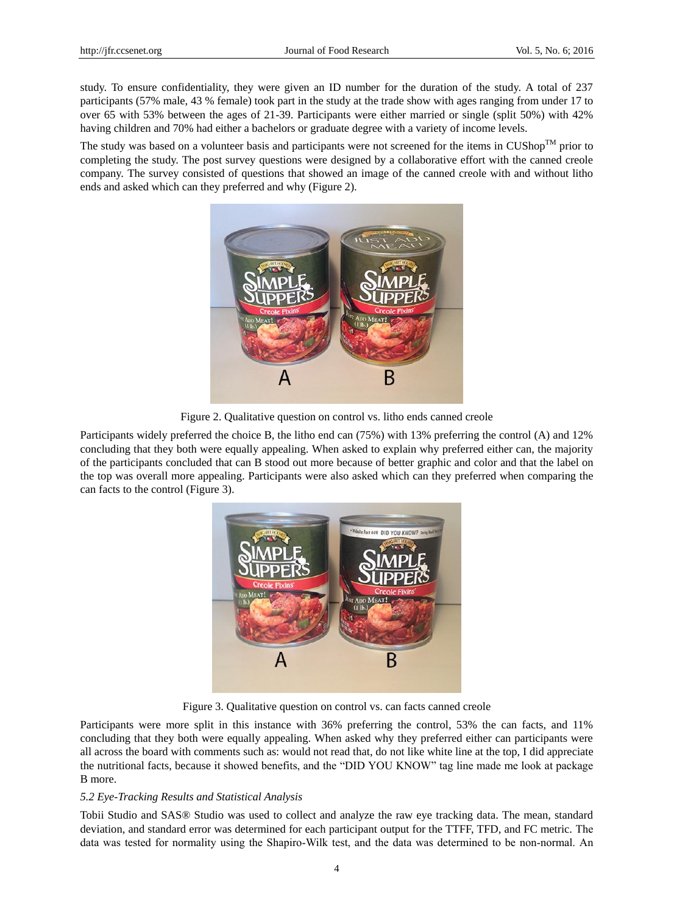study. To ensure confidentiality, they were given an ID number for the duration of the study. A total of 237 participants (57% male, 43 % female) took part in the study at the trade show with ages ranging from under 17 to over 65 with 53% between the ages of 21-39. Participants were either married or single (split 50%) with 42% having children and 70% had either a bachelors or graduate degree with a variety of income levels.

The study was based on a volunteer basis and participants were not screened for the items in CUShop<sup>TM</sup> prior to completing the study. The post survey questions were designed by a collaborative effort with the canned creole company. The survey consisted of questions that showed an image of the canned creole with and without litho ends and asked which can they preferred and why (Figure 2).



Figure 2. Qualitative question on control vs. litho ends canned creole

Participants widely preferred the choice B, the litho end can (75%) with 13% preferring the control (A) and 12% concluding that they both were equally appealing. When asked to explain why preferred either can, the majority of the participants concluded that can B stood out more because of better graphic and color and that the label on the top was overall more appealing. Participants were also asked which can they preferred when comparing the can facts to the control (Figure 3).



Figure 3. Qualitative question on control vs. can facts canned creole

Participants were more split in this instance with 36% preferring the control, 53% the can facts, and 11% concluding that they both were equally appealing. When asked why they preferred either can participants were all across the board with comments such as: would not read that, do not like white line at the top, I did appreciate the nutritional facts, because it showed benefits, and the "DID YOU KNOW" tag line made me look at package B more.

#### *5.2 Eye-Tracking Results and Statistical Analysis*

Tobii Studio and SAS® Studio was used to collect and analyze the raw eye tracking data. The mean, standard deviation, and standard error was determined for each participant output for the TTFF, TFD, and FC metric. The data was tested for normality using the Shapiro-Wilk test, and the data was determined to be non-normal. An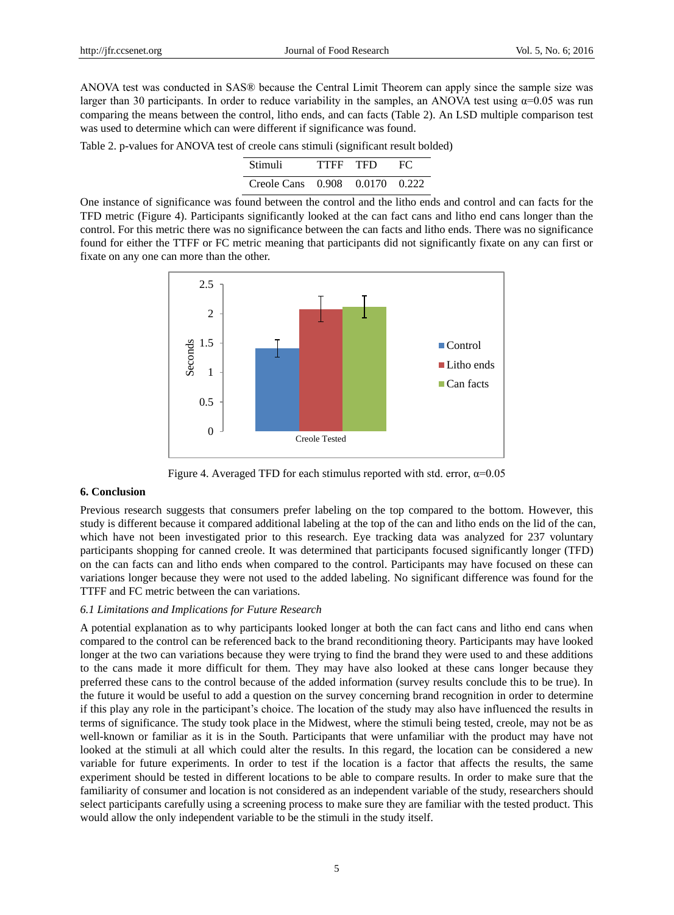ANOVA test was conducted in SAS® because the Central Limit Theorem can apply since the sample size was larger than 30 participants. In order to reduce variability in the samples, an ANOVA test using  $\alpha$ =0.05 was run comparing the means between the control, litho ends, and can facts (Table 2). An LSD multiple comparison test was used to determine which can were different if significance was found.

Table 2. p-values for ANOVA test of creole cans stimuli (significant result bolded)

| Stimuli                        | TTFF TFD | FC. |
|--------------------------------|----------|-----|
| Creole Cans 0.908 0.0170 0.222 |          |     |

One instance of significance was found between the control and the litho ends and control and can facts for the TFD metric (Figure 4). Participants significantly looked at the can fact cans and litho end cans longer than the control. For this metric there was no significance between the can facts and litho ends. There was no significance found for either the TTFF or FC metric meaning that participants did not significantly fixate on any can first or fixate on any one can more than the other.



Figure 4. Averaged TFD for each stimulus reported with std. error,  $\alpha=0.05$ 

#### **6. Conclusion**

Previous research suggests that consumers prefer labeling on the top compared to the bottom. However, this study is different because it compared additional labeling at the top of the can and litho ends on the lid of the can, which have not been investigated prior to this research. Eye tracking data was analyzed for 237 voluntary participants shopping for canned creole. It was determined that participants focused significantly longer (TFD) on the can facts can and litho ends when compared to the control. Participants may have focused on these can variations longer because they were not used to the added labeling. No significant difference was found for the TTFF and FC metric between the can variations.

#### *6.1 Limitations and Implications for Future Research*

A potential explanation as to why participants looked longer at both the can fact cans and litho end cans when compared to the control can be referenced back to the brand reconditioning theory. Participants may have looked longer at the two can variations because they were trying to find the brand they were used to and these additions to the cans made it more difficult for them. They may have also looked at these cans longer because they preferred these cans to the control because of the added information (survey results conclude this to be true). In the future it would be useful to add a question on the survey concerning brand recognition in order to determine if this play any role in the participant's choice. The location of the study may also have influenced the results in terms of significance. The study took place in the Midwest, where the stimuli being tested, creole, may not be as well-known or familiar as it is in the South. Participants that were unfamiliar with the product may have not looked at the stimuli at all which could alter the results. In this regard, the location can be considered a new variable for future experiments. In order to test if the location is a factor that affects the results, the same experiment should be tested in different locations to be able to compare results. In order to make sure that the familiarity of consumer and location is not considered as an independent variable of the study, researchers should select participants carefully using a screening process to make sure they are familiar with the tested product. This would allow the only independent variable to be the stimuli in the study itself.